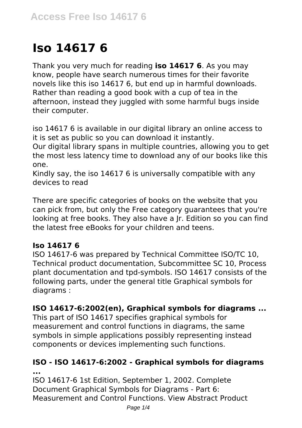# **Iso 14617 6**

Thank you very much for reading **iso 14617 6**. As you may know, people have search numerous times for their favorite novels like this iso 14617 6, but end up in harmful downloads. Rather than reading a good book with a cup of tea in the afternoon, instead they juggled with some harmful bugs inside their computer.

iso 14617 6 is available in our digital library an online access to it is set as public so you can download it instantly.

Our digital library spans in multiple countries, allowing you to get the most less latency time to download any of our books like this one.

Kindly say, the iso 14617 6 is universally compatible with any devices to read

There are specific categories of books on the website that you can pick from, but only the Free category guarantees that you're looking at free books. They also have a Jr. Edition so you can find the latest free eBooks for your children and teens.

## **Iso 14617 6**

ISO 14617-6 was prepared by Technical Committee ISO/TC 10, Technical product documentation, Subcommittee SC 10, Process plant documentation and tpd-symbols. ISO 14617 consists of the following parts, under the general title Graphical symbols for diagrams :

## **ISO 14617-6:2002(en), Graphical symbols for diagrams ...**

This part of ISO 14617 specifies graphical symbols for measurement and control functions in diagrams, the same symbols in simple applications possibly representing instead components or devices implementing such functions.

#### **ISO - ISO 14617-6:2002 - Graphical symbols for diagrams ...**

ISO 14617-6 1st Edition, September 1, 2002. Complete Document Graphical Symbols for Diagrams - Part 6: Measurement and Control Functions. View Abstract Product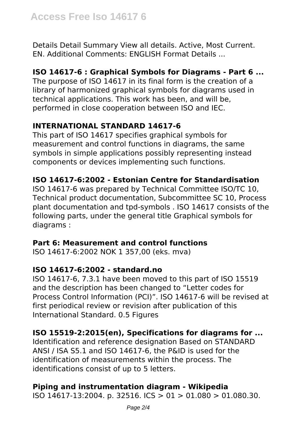Details Detail Summary View all details. Active, Most Current. EN. Additional Comments: ENGLISH Format Details ...

# **ISO 14617-6 : Graphical Symbols for Diagrams - Part 6 ...**

The purpose of ISO 14617 in its final form is the creation of a library of harmonized graphical symbols for diagrams used in technical applications. This work has been, and will be, performed in close cooperation between ISO and IEC.

# **INTERNATIONAL STANDARD 14617-6**

This part of ISO 14617 specifies graphical symbols for measurement and control functions in diagrams, the same symbols in simple applications possibly representing instead components or devices implementing such functions.

# **ISO 14617-6:2002 - Estonian Centre for Standardisation**

ISO 14617-6 was prepared by Technical Committee ISO/TC 10, Technical product documentation, Subcommittee SC 10, Process plant documentation and tpd-symbols . ISO 14617 consists of the following parts, under the general title Graphical symbols for diagrams :

## **Part 6: Measurement and control functions**

ISO 14617-6:2002 NOK 1 357,00 (eks. mva)

## **ISO 14617-6:2002 - standard.no**

ISO 14617-6, 7.3.1 have been moved to this part of ISO 15519 and the description has been changed to "Letter codes for Process Control Information (PCI)". ISO 14617-6 will be revised at first periodical review or revision after publication of this International Standard. 0.5 Figures

## **ISO 15519-2:2015(en), Specifications for diagrams for ...**

Identification and reference designation Based on STANDARD ANSI / ISA S5.1 and ISO 14617-6, the P&ID is used for the identification of measurements within the process. The identifications consist of up to 5 letters.

# **Piping and instrumentation diagram - Wikipedia**

ISO 14617-13:2004. p. 32516. ICS > 01 > 01.080 > 01.080.30.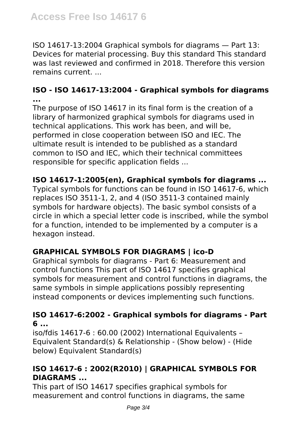ISO 14617-13:2004 Graphical symbols for diagrams — Part 13: Devices for material processing. Buy this standard This standard was last reviewed and confirmed in 2018. Therefore this version remains current. ...

## **ISO - ISO 14617-13:2004 - Graphical symbols for diagrams ...**

The purpose of ISO 14617 in its final form is the creation of a library of harmonized graphical symbols for diagrams used in technical applications. This work has been, and will be, performed in close cooperation between ISO and IEC. The ultimate result is intended to be published as a standard common to ISO and IEC, which their technical committees responsible for specific application fields ...

# **ISO 14617-1:2005(en), Graphical symbols for diagrams ...**

Typical symbols for functions can be found in ISO 14617-6, which replaces ISO 3511-1, 2, and 4 (ISO 3511-3 contained mainly symbols for hardware objects). The basic symbol consists of a circle in which a special letter code is inscribed, while the symbol for a function, intended to be implemented by a computer is a hexagon instead.

# **GRAPHICAL SYMBOLS FOR DIAGRAMS | ico-D**

Graphical symbols for diagrams - Part 6: Measurement and control functions This part of ISO 14617 specifies graphical symbols for measurement and control functions in diagrams, the same symbols in simple applications possibly representing instead components or devices implementing such functions.

#### **ISO 14617-6:2002 - Graphical symbols for diagrams - Part 6 ...**

iso/fdis 14617-6 : 60.00 (2002) International Equivalents – Equivalent Standard(s) & Relationship - (Show below) - (Hide below) Equivalent Standard(s)

# **ISO 14617-6 : 2002(R2010) | GRAPHICAL SYMBOLS FOR DIAGRAMS ...**

This part of ISO 14617 specifies graphical symbols for measurement and control functions in diagrams, the same